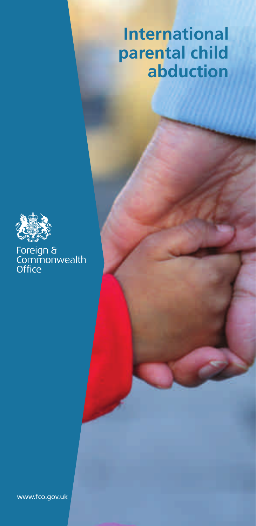# **International parental child abduction**



# Foreign &<br>Commonwealth<br>Office

www.fco.gov.uk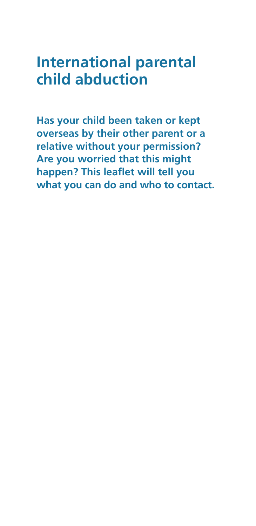# **International parental child abduction**

**Has your child been taken or kept overseas by their other parent or a relative without your permission? Are you worried that this might happen? This leaflet will tell you what you can do and who to contact.**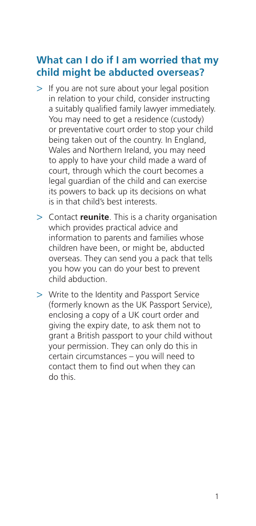# **What can I do if I am worried that my child might be abducted overseas?**

- > If you are not sure about your legal position in relation to your child, consider instructing a suitably qualified family lawyer immediately. You may need to get a residence (custody) or preventative court order to stop your child being taken out of the country. In England, Wales and Northern Ireland, you may need to apply to have your child made a ward of court, through which the court becomes a legal guardian of the child and can exercise its powers to back up its decisions on what is in that child's best interests.
- > Contact **reunite**. This is a charity organisation which provides practical advice and information to parents and families whose children have been, or might be, abducted overseas. They can send you a pack that tells you how you can do your best to prevent child abduction.
- > Write to the Identity and Passport Service (formerly known as the UK Passport Service), enclosing a copy of a UK court order and giving the expiry date, to ask them not to grant a British passport to your child without your permission. They can only do this in certain circumstances – you will need to contact them to find out when they can do this.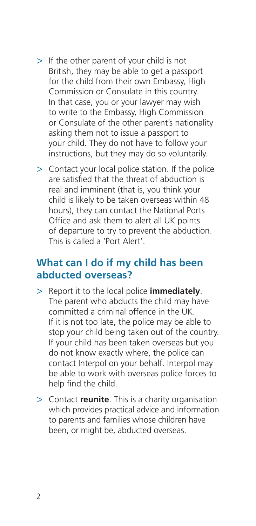- > If the other parent of your child is not British, they may be able to get a passport for the child from their own Embassy, High Commission or Consulate in this country. In that case, you or your lawyer may wish to write to the Embassy, High Commission or Consulate of the other parent's nationality asking them not to issue a passport to your child. They do not have to follow your instructions, but they may do so voluntarily.
- > Contact your local police station. If the police are satisfied that the threat of abduction is real and imminent (that is, you think your child is likely to be taken overseas within 48 hours), they can contact the National Ports Office and ask them to alert all UK points of departure to try to prevent the abduction. This is called a 'Port Alert'.

## **What can I do if my child has been abducted overseas?**

- > Report it to the local police **immediately**. The parent who abducts the child may have committed a criminal offence in the UK. If it is not too late, the police may be able to stop your child being taken out of the country. If your child has been taken overseas but you do not know exactly where, the police can contact Interpol on your behalf. Interpol may be able to work with overseas police forces to help find the child.
- > Contact **reunite**. This is a charity organisation which provides practical advice and information to parents and families whose children have been, or might be, abducted overseas.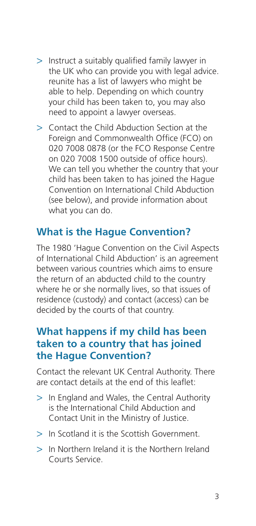- > Instruct a suitably qualified family lawyer in the UK who can provide you with legal advice. reunite has a list of lawyers who might be able to help. Depending on which country your child has been taken to, you may also need to appoint a lawyer overseas.
- > Contact the Child Abduction Section at the Foreign and Commonwealth Office (FCO) on 020 7008 0878 (or the FCO Response Centre on 020 7008 1500 outside of office hours). We can tell you whether the country that your child has been taken to has joined the Hague Convention on International Child Abduction (see below), and provide information about what you can do.

# **What is the Hague Convention?**

The 1980 'Hague Convention on the Civil Aspects of International Child Abduction' is an agreement between various countries which aims to ensure the return of an abducted child to the country where he or she normally lives, so that issues of residence (custody) and contact (access) can be decided by the courts of that country.

## **What happens if my child has been taken to a country that has joined the Hague Convention?**

Contact the relevant UK Central Authority. There are contact details at the end of this leaflet:

- > In England and Wales, the Central Authority is the International Child Abduction and Contact Unit in the Ministry of Justice.
- > In Scotland it is the Scottish Government.
- > In Northern Ireland it is the Northern Ireland Courts Service.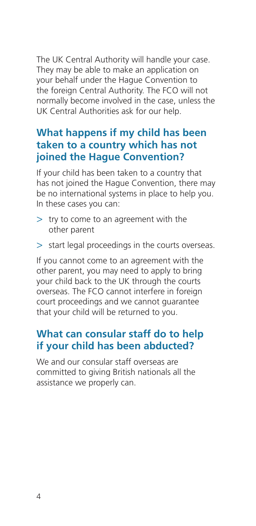The UK Central Authority will handle your case. They may be able to make an application on your behalf under the Hague Convention to the foreign Central Authority. The FCO will not normally become involved in the case, unless the UK Central Authorities ask for our help.

# **What happens if my child has been taken to a country which has not joined the Hague Convention?**

If your child has been taken to a country that has not joined the Hague Convention, there may be no international systems in place to help you. In these cases you can:

- > try to come to an agreement with the other parent
- > start legal proceedings in the courts overseas.

If you cannot come to an agreement with the other parent, you may need to apply to bring your child back to the UK through the courts overseas. The FCO cannot interfere in foreign court proceedings and we cannot guarantee that your child will be returned to you.

# **What can consular staff do to help if your child has been abducted?**

We and our consular staff overseas are committed to giving British nationals all the assistance we properly can.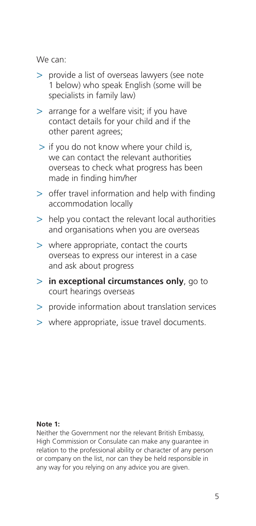We can:

- > provide a list of overseas lawyers (see note 1 below) who speak English (some will be specialists in family law)
- > arrange for a welfare visit; if you have contact details for your child and if the other parent agrees;
- > if you do not know where your child is, we can contact the relevant authorities overseas to check what progress has been made in finding him/her
- > offer travel information and help with finding accommodation locally
- > help you contact the relevant local authorities and organisations when you are overseas
- > where appropriate, contact the courts overseas to express our interest in a case and ask about progress
- > **in exceptional circumstances only**, go to court hearings overseas
- > provide information about translation services
- > where appropriate, issue travel documents.

#### **Note 1:**

Neither the Government nor the relevant British Embassy, High Commission or Consulate can make any guarantee in relation to the professional ability or character of any person or company on the list, nor can they be held responsible in any way for you relying on any advice you are given.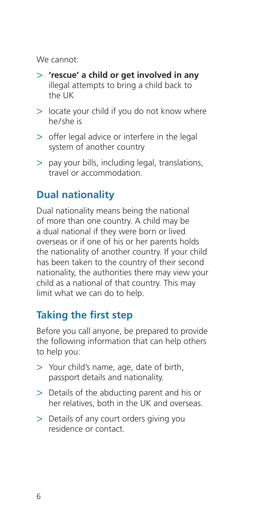We cannot:

- > **'rescue' a child or get involved in any** illegal attempts to bring a child back to the UK
- > locate your child if you do not know where he/she is
- > offer legal advice or interfere in the legal system of another country
- > pay your bills, including legal, translations, travel or accommodation.

# **Dual nationality**

Dual nationality means being the national of more than one country. A child may be a dual national if they were born or lived overseas or if one of his or her parents holds the nationality of another country. If your child has been taken to the country of their second nationality, the authorities there may view your child as a national of that country. This may limit what we can do to help.

# **Taking the first step**

Before you call anyone, be prepared to provide the following information that can help others to help you:

- > Your child's name, age, date of birth, passport details and nationality.
- > Details of the abducting parent and his or her relatives, both in the UK and overseas.
- > Details of any court orders giving you residence or contact.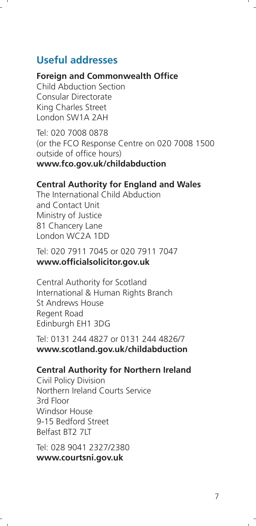# **Useful addresses**

#### **Foreign and Commonwealth Office**

Child Abduction Section Consular Directorate King Charles Street London SW1A 2AH

Tel: 020 7008 0878 (or the FCO Response Centre on 020 7008 1500 outside of office hours) **www.fco.gov.uk/childabduction**

#### **Central Authority for England and Wales**

The International Child Abduction and Contact Unit Ministry of Justice 81 Chancery Lane London WC2A 1DD

Tel: 020 7911 7045 or 020 7911 7047 **www.officialsolicitor.gov.uk**

Central Authority for Scotland International & Human Rights Branch St Andrews House Regent Road Edinburgh EH1 3DG

Tel: 0131 244 4827 or 0131 244 4826/7 **www.scotland.gov.uk/childabduction**

#### **Central Authority for Northern Ireland**

Civil Policy Division Northern Ireland Courts Service 3rd Floor Windsor House 9-15 Bedford Street Belfast BT2 7LT

Tel: 028 9041 2327/2380 **www.courtsni.gov.uk**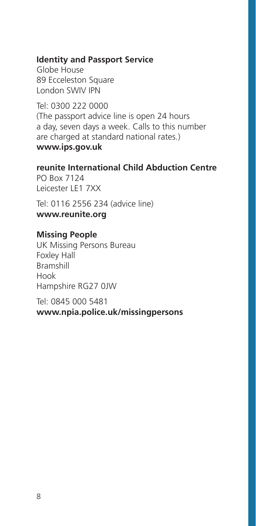#### **Identity and Passport Service**

Globe House 89 Ecceleston Square London SWIV IPN

Tel: 0300 222 0000 (The passport advice line is open 24 hours a day, seven days a week. Calls to this number are charged at standard national rates.) **www.ips.gov.uk**

**reunite International Child Abduction Centre** PO Box 7124 Leicester LE1 7XX

Tel: 0116 2556 234 (advice line) **www.reunite.org**

#### **Missing People**

UK Missing Persons Bureau Foxley Hall Bramshill Hook Hampshire RG27 0JW

Tel: 0845 000 5481 **www.npia.police.uk/missingpersons**